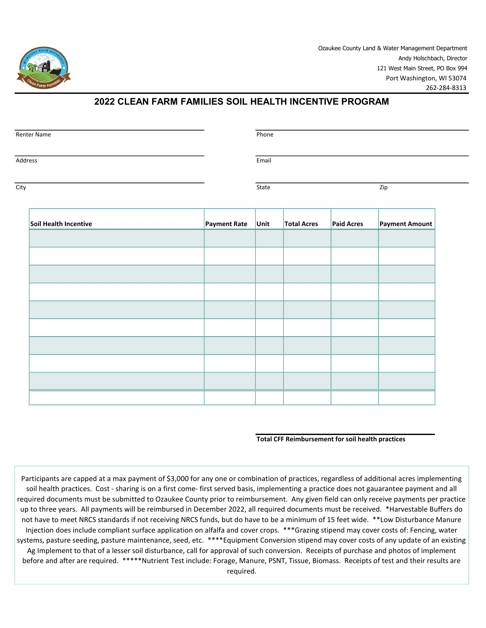

## 2022 CLEAN FARM FAMILIES SOIL HEALTH INCENTIVE PROGRAM

| Renter Name           |              | Phone |                    |                   |                |  |
|-----------------------|--------------|-------|--------------------|-------------------|----------------|--|
| Address               |              | Email |                    |                   |                |  |
| City                  |              | State |                    |                   | Zip            |  |
| Soil Health Incentive | Payment Rate | Unit  | <b>Total Acres</b> | <b>Paid Acres</b> | Payment Amount |  |
|                       |              |       |                    |                   |                |  |
|                       |              |       |                    |                   |                |  |
|                       |              |       |                    |                   |                |  |
|                       |              |       |                    |                   |                |  |
|                       |              |       |                    |                   |                |  |
|                       |              |       |                    |                   |                |  |
|                       |              |       |                    |                   |                |  |
|                       |              |       |                    |                   |                |  |

## Total CFF Reimbursement for soil health practices

Participants are capped at a max payment of \$3,000 for any one or combination of practices, regardless of additional acres implementing soil health practices. Cost - sharing is on a first come- first served basis, implementing a practice does not gauarantee payment and all required documents must be submitted to Ozaukee County prior to reimbursement. Any given field can only receive payments per practice up to three years. All payments will be reimbursed in December 2022, all required documents must be received. \*Harvestable Buffers do not have to meet NRCS standards if not receiving NRCS funds, but do have to be a minimum of 15 feet wide. \*\*Low Disturbance Manure Injection does include compliant surface application on alfalfa and cover crops. \*\*\*Grazing stipend may cover costs of: Fencing, water systems, pasture seeding, pasture maintenance, seed, etc. \*\*\*\*Equipment Conversion stipend may cover costs of any update of an existing Ag Implement to that of a lesser soil disturbance, call for approval of such conversion. Receipts of purchase and photos of implement before and after are required. \*\*\*\*\*Nutrient Test include: Forage, Manure, PSNT, Tissue, Biomass. Receipts of test and their results are required.